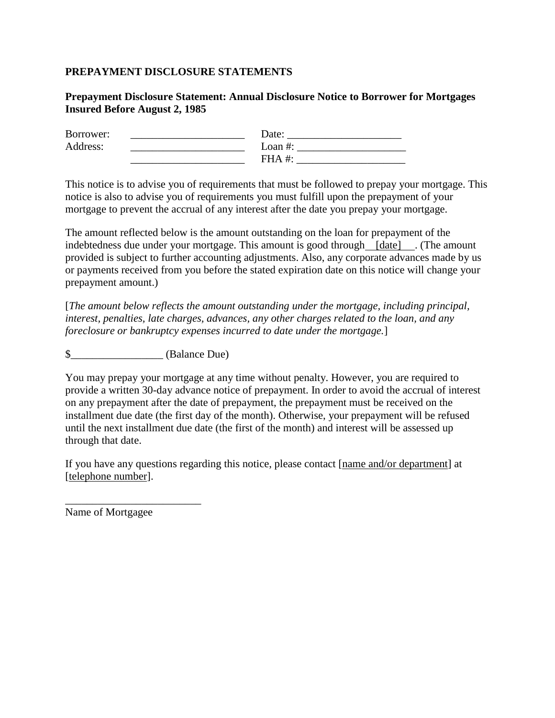## **PREPAYMENT DISCLOSURE STATEMENTS**

## **Prepayment Disclosure Statement: Annual Disclosure Notice to Borrower for Mortgages Insured Before August 2, 1985**

| Borrower: | Date:      |
|-----------|------------|
| Address:  | Loan $#$ : |
|           | $FHA +$    |

This notice is to advise you of requirements that must be followed to prepay your mortgage. This notice is also to advise you of requirements you must fulfill upon the prepayment of your mortgage to prevent the accrual of any interest after the date you prepay your mortgage.

The amount reflected below is the amount outstanding on the loan for prepayment of the indebtedness due under your mortgage. This amount is good through [date] . (The amount provided is subject to further accounting adjustments. Also, any corporate advances made by us or payments received from you before the stated expiration date on this notice will change your prepayment amount.)

[*The amount below reflects the amount outstanding under the mortgage, including principal, interest, penalties, late charges, advances, any other charges related to the loan, and any foreclosure or bankruptcy expenses incurred to date under the mortgage.*]

\$\_\_\_\_\_\_\_\_\_\_\_\_\_\_\_\_\_ (Balance Due)

You may prepay your mortgage at any time without penalty. However, you are required to provide a written 30-day advance notice of prepayment. In order to avoid the accrual of interest on any prepayment after the date of prepayment, the prepayment must be received on the installment due date (the first day of the month). Otherwise, your prepayment will be refused until the next installment due date (the first of the month) and interest will be assessed up through that date.

If you have any questions regarding this notice, please contact [name and/or department] at [telephone number].

Name of Mortgagee

\_\_\_\_\_\_\_\_\_\_\_\_\_\_\_\_\_\_\_\_\_\_\_\_\_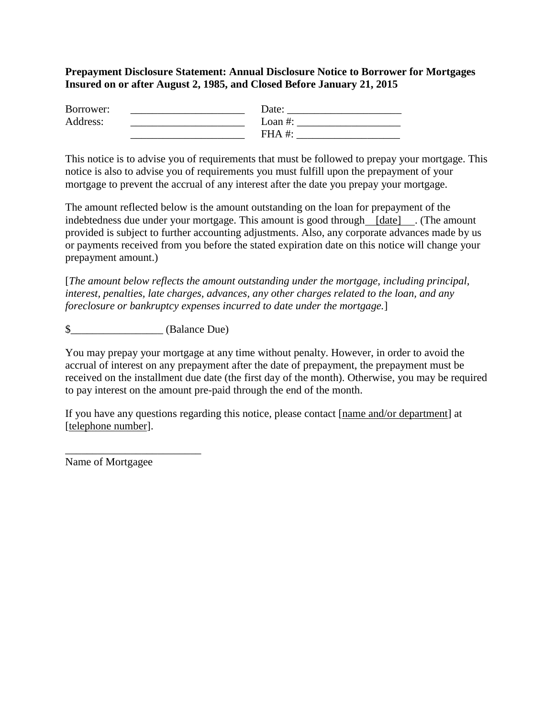## **Prepayment Disclosure Statement: Annual Disclosure Notice to Borrower for Mortgages Insured on or after August 2, 1985, and Closed Before January 21, 2015**

| Borrower: | Date:      |
|-----------|------------|
| Address:  | Loan $#$ : |
|           | $FHA +$    |

This notice is to advise you of requirements that must be followed to prepay your mortgage. This notice is also to advise you of requirements you must fulfill upon the prepayment of your mortgage to prevent the accrual of any interest after the date you prepay your mortgage.

The amount reflected below is the amount outstanding on the loan for prepayment of the indebtedness due under your mortgage. This amount is good through [date] . (The amount provided is subject to further accounting adjustments. Also, any corporate advances made by us or payments received from you before the stated expiration date on this notice will change your prepayment amount.)

[*The amount below reflects the amount outstanding under the mortgage, including principal, interest, penalties, late charges, advances, any other charges related to the loan, and any foreclosure or bankruptcy expenses incurred to date under the mortgage.*]

\$\_\_\_\_\_\_\_\_\_\_\_\_\_\_\_\_\_ (Balance Due)

You may prepay your mortgage at any time without penalty. However, in order to avoid the accrual of interest on any prepayment after the date of prepayment, the prepayment must be received on the installment due date (the first day of the month). Otherwise, you may be required to pay interest on the amount pre-paid through the end of the month.

If you have any questions regarding this notice, please contact [name and/or department] at [telephone number].

Name of Mortgagee

\_\_\_\_\_\_\_\_\_\_\_\_\_\_\_\_\_\_\_\_\_\_\_\_\_